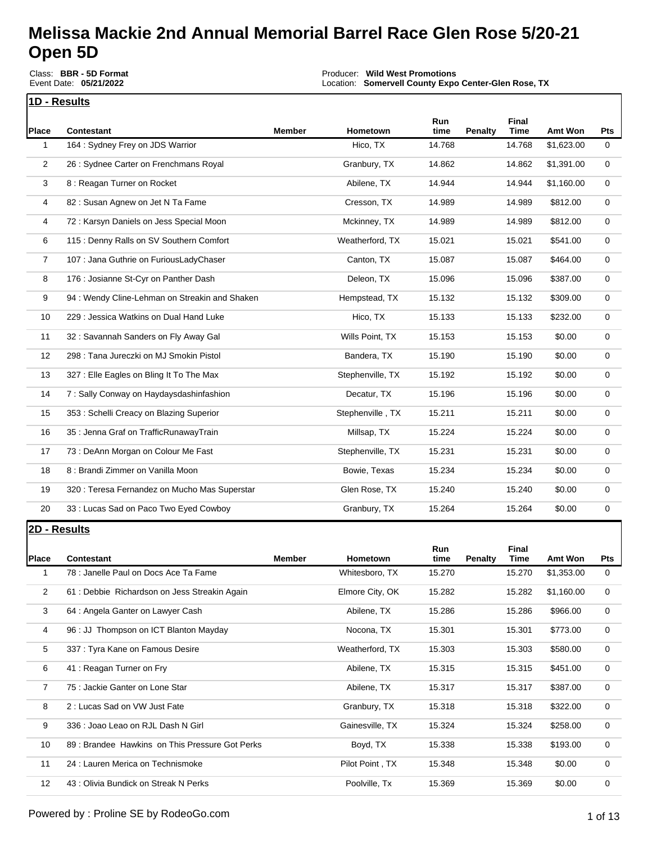Class: **BBR - 5D Format** Event Date: **05/21/2022**

Producer: **Wild West Promotions** Location: **Somervell County Expo Center-Glen Rose, TX**

Event Payout: **\$25,771.00** Total Signups**: 410**

| 1D - Results |  |
|--------------|--|

| Place          | <b>Contestant</b>                             | <b>Member</b> | <b>Hometown</b>  | Run<br>time | Penalty | <b>Final</b><br><b>Time</b> | Amt Won    | <b>Pts</b>  |
|----------------|-----------------------------------------------|---------------|------------------|-------------|---------|-----------------------------|------------|-------------|
| 1              | 164 : Sydney Frey on JDS Warrior              |               | Hico, TX         | 14.768      |         | 14.768                      | \$1,623.00 | $\mathbf 0$ |
| 2              | 26 : Sydnee Carter on Frenchmans Royal        |               | Granbury, TX     | 14.862      |         | 14.862                      | \$1,391.00 | 0           |
| 3              | 8 : Reagan Turner on Rocket                   |               | Abilene, TX      | 14.944      |         | 14.944                      | \$1,160.00 | 0           |
| 4              | 82: Susan Agnew on Jet N Ta Fame              |               | Cresson, TX      | 14.989      |         | 14.989                      | \$812.00   | $\mathbf 0$ |
| 4              | 72: Karsyn Daniels on Jess Special Moon       |               | Mckinney, TX     | 14.989      |         | 14.989                      | \$812.00   | 0           |
| 6              | 115 : Denny Ralls on SV Southern Comfort      |               | Weatherford, TX  | 15.021      |         | 15.021                      | \$541.00   | 0           |
| $\overline{7}$ | 107 : Jana Guthrie on FuriousLadyChaser       |               | Canton, TX       | 15.087      |         | 15.087                      | \$464.00   | 0           |
| 8              | 176 : Josianne St-Cyr on Panther Dash         |               | Deleon, TX       | 15.096      |         | 15.096                      | \$387.00   | $\mathbf 0$ |
| 9              | 94: Wendy Cline-Lehman on Streakin and Shaken |               | Hempstead, TX    | 15.132      |         | 15.132                      | \$309.00   | 0           |
| 10             | 229 : Jessica Watkins on Dual Hand Luke       |               | Hico, TX         | 15.133      |         | 15.133                      | \$232.00   | 0           |
| 11             | 32 : Savannah Sanders on Fly Away Gal         |               | Wills Point, TX  | 15.153      |         | 15.153                      | \$0.00     | 0           |
| 12             | 298 : Tana Jureczki on MJ Smokin Pistol       |               | Bandera, TX      | 15.190      |         | 15.190                      | \$0.00     | $\mathbf 0$ |
| 13             | 327 : Elle Eagles on Bling It To The Max      |               | Stephenville, TX | 15.192      |         | 15.192                      | \$0.00     | 0           |
| 14             | 7: Sally Conway on Haydaysdashinfashion       |               | Decatur, TX      | 15.196      |         | 15.196                      | \$0.00     | 0           |
| 15             | 353 : Schelli Creacy on Blazing Superior      |               | Stephenville, TX | 15.211      |         | 15.211                      | \$0.00     | 0           |
| 16             | 35 : Jenna Graf on TrafficRunawayTrain        |               | Millsap, TX      | 15.224      |         | 15.224                      | \$0.00     | $\mathbf 0$ |
| 17             | 73 : DeAnn Morgan on Colour Me Fast           |               | Stephenville, TX | 15.231      |         | 15.231                      | \$0.00     | $\mathbf 0$ |
| 18             | 8 : Brandi Zimmer on Vanilla Moon             |               | Bowie, Texas     | 15.234      |         | 15.234                      | \$0.00     | 0           |
| 19             | 320 : Teresa Fernandez on Mucho Mas Superstar |               | Glen Rose, TX    | 15.240      |         | 15.240                      | \$0.00     | 0           |
| 20             | 33 : Lucas Sad on Paco Two Eyed Cowboy        |               | Granbury, TX     | 15.264      |         | 15.264                      | \$0.00     | $\mathbf 0$ |

#### **2D - Results**

| Place             | <b>Contestant</b>                               | <b>Member</b> | <b>Hometown</b> | <b>Run</b><br>time | Penalty | Final<br>Time | Amt Won    | <b>Pts</b>  |
|-------------------|-------------------------------------------------|---------------|-----------------|--------------------|---------|---------------|------------|-------------|
| 1                 | 78 : Janelle Paul on Docs Ace Ta Fame           |               | Whitesboro, TX  | 15.270             |         | 15.270        | \$1,353.00 | 0           |
| $\overline{2}$    | 61 : Debbie Richardson on Jess Streakin Again   |               | Elmore City, OK | 15.282             |         | 15.282        | \$1,160.00 | 0           |
| 3                 | 64 : Angela Ganter on Lawyer Cash               |               | Abilene, TX     | 15.286             |         | 15.286        | \$966.00   | $\mathbf 0$ |
| 4                 | 96 : JJ Thompson on ICT Blanton Mayday          |               | Nocona, TX      | 15.301             |         | 15.301        | \$773.00   | $\Omega$    |
| 5                 | 337 : Tyra Kane on Famous Desire                |               | Weatherford, TX | 15.303             |         | 15.303        | \$580.00   | 0           |
| 6                 | 41 : Reagan Turner on Fry                       |               | Abilene, TX     | 15.315             |         | 15.315        | \$451.00   | $\mathbf 0$ |
| $\overline{7}$    | 75 : Jackie Ganter on Lone Star                 |               | Abilene, TX     | 15.317             |         | 15.317        | \$387.00   | 0           |
| 8                 | 2: Lucas Sad on VW Just Fate                    |               | Granbury, TX    | 15.318             |         | 15.318        | \$322.00   | 0           |
| 9                 | 336 : Joao Leao on RJL Dash N Girl              |               | Gainesville, TX | 15.324             |         | 15.324        | \$258.00   | 0           |
| 10                | 89 : Brandee Hawkins on This Pressure Got Perks |               | Boyd, TX        | 15.338             |         | 15.338        | \$193.00   | $\mathbf 0$ |
| 11                | 24 : Lauren Merica on Technismoke               |               | Pilot Point, TX | 15.348             |         | 15.348        | \$0.00     | $\Omega$    |
| $12 \overline{ }$ | 43 : Olivia Bundick on Streak N Perks           |               | Poolville, Tx   | 15.369             |         | 15.369        | \$0.00     | $\Omega$    |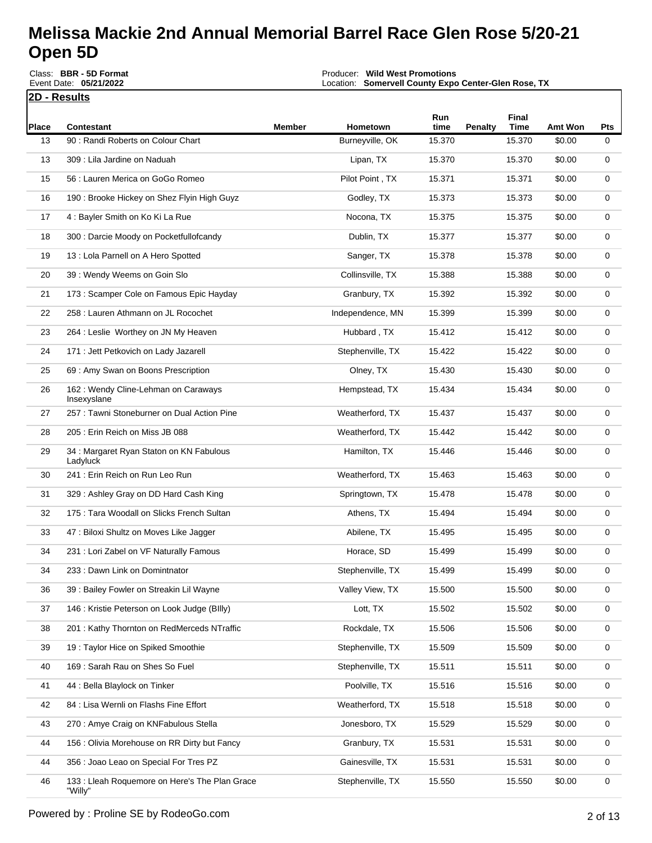|       | Event Date: 05/21/2022<br><u> 2D - Results</u>       |               | Location: Somervell County Expo Center-Glen Rose, TX |             |                |               |                |     |
|-------|------------------------------------------------------|---------------|------------------------------------------------------|-------------|----------------|---------------|----------------|-----|
| Place | <b>Contestant</b>                                    | <b>Member</b> | Hometown                                             | Run<br>time | <b>Penalty</b> | Final<br>Time | <b>Amt Won</b> | Pts |
| 13    | 90 : Randi Roberts on Colour Chart                   |               | Burneyville, OK                                      | 15.370      |                | 15.370        | \$0.00         | 0   |
| 13    | 309 : Lila Jardine on Naduah                         |               | Lipan, TX                                            | 15.370      |                | 15.370        | \$0.00         | 0   |
| 15    | 56 : Lauren Merica on GoGo Romeo                     |               | Pilot Point, TX                                      | 15.371      |                | 15.371        | \$0.00         | 0   |
| 16    | 190 : Brooke Hickey on Shez Flyin High Guyz          |               | Godley, TX                                           | 15.373      |                | 15.373        | \$0.00         | 0   |
| 17    | 4 : Bayler Smith on Ko Ki La Rue                     |               | Nocona, TX                                           | 15.375      |                | 15.375        | \$0.00         | 0   |
| 18    | 300 : Darcie Moody on Pocketfullofcandy              |               | Dublin, TX                                           | 15.377      |                | 15.377        | \$0.00         | 0   |
| 19    | 13 : Lola Parnell on A Hero Spotted                  |               | Sanger, TX                                           | 15.378      |                | 15.378        | \$0.00         | 0   |
| 20    | 39: Wendy Weems on Goin Slo                          |               | Collinsville, TX                                     | 15.388      |                | 15.388        | \$0.00         | 0   |
| 21    | 173 : Scamper Cole on Famous Epic Hayday             |               | Granbury, TX                                         | 15.392      |                | 15.392        | \$0.00         | 0   |
| 22    | 258 : Lauren Athmann on JL Rocochet                  |               | Independence, MN                                     | 15.399      |                | 15.399        | \$0.00         | 0   |
| 23    | 264 : Leslie Worthey on JN My Heaven                 |               | Hubbard, TX                                          | 15.412      |                | 15.412        | \$0.00         | 0   |
| 24    | 171 : Jett Petkovich on Lady Jazarell                |               | Stephenville, TX                                     | 15.422      |                | 15.422        | \$0.00         | 0   |
| 25    | 69 : Amy Swan on Boons Prescription                  |               | Olney, TX                                            | 15.430      |                | 15.430        | \$0.00         | 0   |
| 26    | 162 : Wendy Cline-Lehman on Caraways<br>Insexyslane  |               | Hempstead, TX                                        | 15.434      |                | 15.434        | \$0.00         | 0   |
| 27    | 257 : Tawni Stoneburner on Dual Action Pine          |               | Weatherford, TX                                      | 15.437      |                | 15.437        | \$0.00         | 0   |
| 28    | 205: Erin Reich on Miss JB 088                       |               | Weatherford, TX                                      | 15.442      |                | 15.442        | \$0.00         | 0   |
| 29    | 34 : Margaret Ryan Staton on KN Fabulous<br>Ladyluck |               | Hamilton, TX                                         | 15.446      |                | 15.446        | \$0.00         | 0   |
| 30    | 241 : Erin Reich on Run Leo Run                      |               | Weatherford, TX                                      | 15.463      |                | 15.463        | \$0.00         | 0   |
| 31    | 329 : Ashley Gray on DD Hard Cash King               |               | Springtown, TX                                       | 15.478      |                | 15.478        | \$0.00         | 0   |
| 32    | 175: Tara Woodall on Slicks French Sultan            |               | Athens, TX                                           | 15.494      |                | 15.494        | \$0.00         | 0   |
| 33    | 47 : Biloxi Shultz on Moves Like Jagger              |               | Abilene, TX                                          | 15.495      |                | 15.495        | \$0.00         | 0   |
| 34    | 231 : Lori Zabel on VF Naturally Famous              |               | Horace, SD                                           | 15.499      |                | 15.499        | \$0.00         | 0   |
| 34    | 233 : Dawn Link on Domintnator                       |               | Stephenville, TX                                     | 15.499      |                | 15.499        | \$0.00         | 0   |
| 36    | 39 : Bailey Fowler on Streakin Lil Wayne             |               | Valley View, TX                                      | 15.500      |                | 15.500        | \$0.00         | 0   |
| 37    | 146 : Kristie Peterson on Look Judge (BIIIy)         |               | Lott, TX                                             | 15.502      |                | 15.502        | \$0.00         | 0   |
| 38    | 201: Kathy Thornton on RedMerceds NTraffic           |               | Rockdale, TX                                         | 15.506      |                | 15.506        | \$0.00         | 0   |
| 39    | 19 : Taylor Hice on Spiked Smoothie                  |               | Stephenville, TX                                     | 15.509      |                | 15.509        | \$0.00         | 0   |
| 40    | 169 : Sarah Rau on Shes So Fuel                      |               | Stephenville, TX                                     | 15.511      |                | 15.511        | \$0.00         | 0   |
| 41    | 44 : Bella Blaylock on Tinker                        |               | Poolville, TX                                        | 15.516      |                | 15.516        | \$0.00         | 0   |
| 42    | 84 : Lisa Wernli on Flashs Fine Effort               |               | Weatherford, TX                                      | 15.518      |                | 15.518        | \$0.00         | 0   |
| 43    | 270 : Amye Craig on KNFabulous Stella                |               | Jonesboro, TX                                        | 15.529      |                | 15.529        | \$0.00         | 0   |
| 44    | 156 : Olivia Morehouse on RR Dirty but Fancy         |               | Granbury, TX                                         | 15.531      |                | 15.531        | \$0.00         | 0   |
| 44    | 356 : Joao Leao on Special For Tres PZ               |               | Gainesville, TX                                      | 15.531      |                | 15.531        | \$0.00         | 0   |

"Willy"

133 : Lleah Roquemore on Here's The Plan Grace

Stephenville, TX 15.550 15.550 \$0.00 0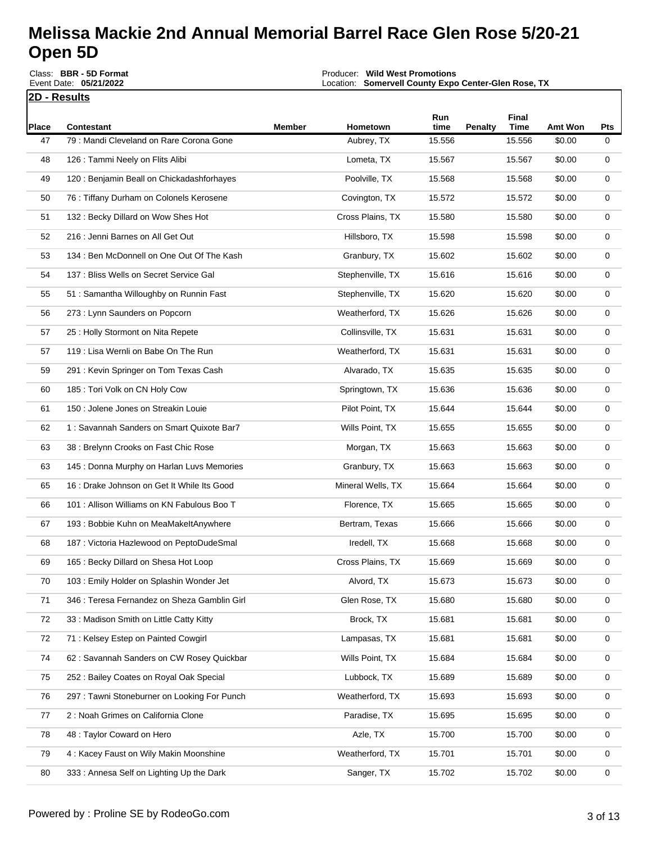|       | Class: BBR - 5D Format<br>Event Date: 05/21/2022 |               | Producer: Wild West Promotions<br>Location: Somervell County Expo Center-Glen Rose, TX |             |         |                      |                |             |
|-------|--------------------------------------------------|---------------|----------------------------------------------------------------------------------------|-------------|---------|----------------------|----------------|-------------|
|       | 2D - Results                                     |               |                                                                                        |             |         |                      |                |             |
| Place | <b>Contestant</b>                                | <b>Member</b> | Hometown                                                                               | Run<br>time | Penalty | Final<br><b>Time</b> | <b>Amt Won</b> | Pts         |
| 47    | 79: Mandi Cleveland on Rare Corona Gone          |               | Aubrey, TX                                                                             | 15.556      |         | 15.556               | \$0.00         | 0           |
| 48    | 126 : Tammi Neely on Flits Alibi                 |               | Lometa, TX                                                                             | 15.567      |         | 15.567               | \$0.00         | 0           |
| 49    | 120 : Benjamin Beall on Chickadashforhayes       |               | Poolville, TX                                                                          | 15.568      |         | 15.568               | \$0.00         | 0           |
| 50    | 76 : Tiffany Durham on Colonels Kerosene         |               | Covington, TX                                                                          | 15.572      |         | 15.572               | \$0.00         | 0           |
| 51    | 132: Becky Dillard on Wow Shes Hot               |               | Cross Plains, TX                                                                       | 15.580      |         | 15.580               | \$0.00         | 0           |
| 52    | 216 : Jenni Barnes on All Get Out                |               | Hillsboro, TX                                                                          | 15.598      |         | 15.598               | \$0.00         | 0           |
| 53    | 134 : Ben McDonnell on One Out Of The Kash       |               | Granbury, TX                                                                           | 15.602      |         | 15.602               | \$0.00         | 0           |
| 54    | 137 : Bliss Wells on Secret Service Gal          |               | Stephenville, TX                                                                       | 15.616      |         | 15.616               | \$0.00         | 0           |
| 55    | 51: Samantha Willoughby on Runnin Fast           |               | Stephenville, TX                                                                       | 15.620      |         | 15.620               | \$0.00         | 0           |
| 56    | 273 : Lynn Saunders on Popcorn                   |               | Weatherford, TX                                                                        | 15.626      |         | 15.626               | \$0.00         | 0           |
| 57    | 25 : Holly Stormont on Nita Repete               |               | Collinsville, TX                                                                       | 15.631      |         | 15.631               | \$0.00         | 0           |
| 57    | 119 : Lisa Wernli on Babe On The Run             |               | Weatherford, TX                                                                        | 15.631      |         | 15.631               | \$0.00         | 0           |
| 59    | 291 : Kevin Springer on Tom Texas Cash           |               | Alvarado, TX                                                                           | 15.635      |         | 15.635               | \$0.00         | 0           |
| 60    | 185 : Tori Volk on CN Holy Cow                   |               | Springtown, TX                                                                         | 15.636      |         | 15.636               | \$0.00         | 0           |
| 61    | 150 : Jolene Jones on Streakin Louie             |               | Pilot Point, TX                                                                        | 15.644      |         | 15.644               | \$0.00         | 0           |
| 62    | 1: Savannah Sanders on Smart Quixote Bar7        |               | Wills Point, TX                                                                        | 15.655      |         | 15.655               | \$0.00         | 0           |
| 63    | 38 : Brelynn Crooks on Fast Chic Rose            |               | Morgan, TX                                                                             | 15.663      |         | 15.663               | \$0.00         | 0           |
| 63    | 145 : Donna Murphy on Harlan Luvs Memories       |               | Granbury, TX                                                                           | 15.663      |         | 15.663               | \$0.00         | 0           |
| 65    | 16 : Drake Johnson on Get It While Its Good      |               | Mineral Wells, TX                                                                      | 15.664      |         | 15.664               | \$0.00         | 0           |
| 66    | 101 : Allison Williams on KN Fabulous Boo T      |               | Florence, TX                                                                           | 15.665      |         | 15.665               | \$0.00         | 0           |
| 67    | 193 : Bobbie Kuhn on MeaMakeltAnywhere           |               | Bertram, Texas                                                                         | 15.666      |         | 15.666               | \$0.00         | 0           |
| 68    | 187 : Victoria Hazlewood on PeptoDudeSmal        |               | Iredell, TX                                                                            | 15.668      |         | 15.668               | \$0.00         | 0           |
| 69    | 165 : Becky Dillard on Shesa Hot Loop            |               | Cross Plains, TX                                                                       | 15.669      |         | 15.669               | \$0.00         | 0           |
| 70    | 103 : Emily Holder on Splashin Wonder Jet        |               | Alvord, TX                                                                             | 15.673      |         | 15.673               | \$0.00         | 0           |
| 71    | 346 : Teresa Fernandez on Sheza Gamblin Girl     |               | Glen Rose, TX                                                                          | 15.680      |         | 15.680               | \$0.00         | 0           |
| 72    | 33 : Madison Smith on Little Catty Kitty         |               | Brock, TX                                                                              | 15.681      |         | 15.681               | \$0.00         | 0           |
| 72    | 71 : Kelsey Estep on Painted Cowgirl             |               | Lampasas, TX                                                                           | 15.681      |         | 15.681               | \$0.00         | 0           |
| 74    | 62: Savannah Sanders on CW Rosey Quickbar        |               | Wills Point, TX                                                                        | 15.684      |         | 15.684               | \$0.00         | 0           |
| 75    | 252 : Bailey Coates on Royal Oak Special         |               | Lubbock, TX                                                                            | 15.689      |         | 15.689               | \$0.00         | 0           |
| 76    | 297 : Tawni Stoneburner on Looking For Punch     |               | Weatherford, TX                                                                        | 15.693      |         | 15.693               | \$0.00         | 0           |
| 77    | 2 : Noah Grimes on California Clone              |               | Paradise, TX                                                                           | 15.695      |         | 15.695               | \$0.00         | 0           |
| 78    | 48 : Taylor Coward on Hero                       |               | Azle, TX                                                                               | 15.700      |         | 15.700               | \$0.00         | 0           |
| 79    | 4 : Kacey Faust on Wily Makin Moonshine          |               | Weatherford, TX                                                                        | 15.701      |         | 15.701               | \$0.00         | 0           |
| 80    | 333 : Annesa Self on Lighting Up the Dark        |               | Sanger, TX                                                                             | 15.702      |         | 15.702               | \$0.00         | $\mathbf 0$ |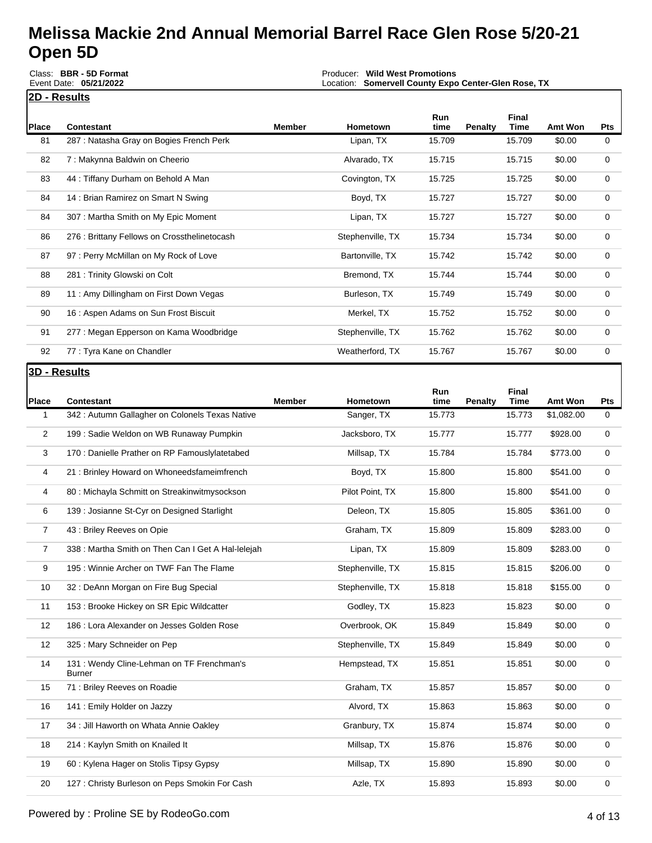|       | Class: BBR - 5D Format<br>Event Date: 05/21/2022 |               | <b>Wild West Promotions</b><br>Producer:<br><b>Somervell County Expo Center-Glen Rose, TX</b><br>Location: |             |                |                      |         |            |
|-------|--------------------------------------------------|---------------|------------------------------------------------------------------------------------------------------------|-------------|----------------|----------------------|---------|------------|
|       | <b>2D - Results</b>                              |               |                                                                                                            |             |                |                      |         |            |
| Place | Contestant                                       | <b>Member</b> | Hometown                                                                                                   | Run<br>time | <b>Penalty</b> | Final<br><b>Time</b> | Amt Won | <b>Pts</b> |
| 81    | 287 : Natasha Gray on Bogies French Perk         |               | Lipan, TX                                                                                                  | 15.709      |                | 15.709               | \$0.00  | 0          |
| 82    | 7: Makynna Baldwin on Cheerio                    |               | Alvarado, TX                                                                                               | 15.715      |                | 15.715               | \$0.00  | 0          |
| 83    | 44 : Tiffany Durham on Behold A Man              |               | Covington, TX                                                                                              | 15.725      |                | 15.725               | \$0.00  | 0          |
| 84    | 14 : Brian Ramirez on Smart N Swing              |               | Boyd, TX                                                                                                   | 15.727      |                | 15.727               | \$0.00  | 0          |
| 84    | 307 : Martha Smith on My Epic Moment             |               | Lipan, TX                                                                                                  | 15.727      |                | 15.727               | \$0.00  | 0          |
| 86    | 276 : Brittany Fellows on Crossthelinetocash     |               | Stephenville, TX                                                                                           | 15.734      |                | 15.734               | \$0.00  | 0          |
| 87    | 97: Perry McMillan on My Rock of Love            |               | Bartonville, TX                                                                                            | 15.742      |                | 15.742               | \$0.00  | 0          |
| 88    | 281 : Trinity Glowski on Colt                    |               | Bremond, TX                                                                                                | 15.744      |                | 15.744               | \$0.00  | 0          |
| 89    | 11: Amy Dillingham on First Down Vegas           |               | Burleson, TX                                                                                               | 15.749      |                | 15.749               | \$0.00  | 0          |
| 90    | 16 : Aspen Adams on Sun Frost Biscuit            |               | Merkel, TX                                                                                                 | 15.752      |                | 15.752               | \$0.00  | 0          |
| 91    | 277 : Megan Epperson on Kama Woodbridge          |               | Stephenville, TX                                                                                           | 15.762      |                | 15.762               | \$0.00  | 0          |
| 92    | 77 : Tyra Kane on Chandler                       |               | Weatherford, TX                                                                                            | 15.767      |                | 15.767               | \$0.00  | 0          |
|       |                                                  |               |                                                                                                            |             |                |                      |         |            |

#### **3D - Results**

| Place          | <b>Contestant</b>                                           | <b>Member</b> | Hometown         | Run<br>time | <b>Penalty</b> | Final<br><b>Time</b> | Amt Won    | <b>Pts</b>  |
|----------------|-------------------------------------------------------------|---------------|------------------|-------------|----------------|----------------------|------------|-------------|
| 1              | 342 : Autumn Gallagher on Colonels Texas Native             |               | Sanger, TX       | 15.773      |                | 15.773               | \$1,082.00 | $\mathbf 0$ |
| $\overline{2}$ | 199 : Sadie Weldon on WB Runaway Pumpkin                    |               | Jacksboro, TX    | 15.777      |                | 15.777               | \$928.00   | 0           |
| 3              | 170 : Danielle Prather on RP Famouslylatetabed              |               | Millsap, TX      | 15.784      |                | 15.784               | \$773.00   | 0           |
| 4              | 21 : Brinley Howard on Whoneedsfameimfrench                 |               | Boyd, TX         | 15.800      |                | 15.800               | \$541.00   | 0           |
| 4              | 80 : Michayla Schmitt on Streakinwitmysockson               |               | Pilot Point, TX  | 15.800      |                | 15.800               | \$541.00   | 0           |
| 6              | 139 : Josianne St-Cyr on Designed Starlight                 |               | Deleon, TX       | 15.805      |                | 15.805               | \$361.00   | 0           |
| $\overline{7}$ | 43 : Briley Reeves on Opie                                  |               | Graham, TX       | 15.809      |                | 15.809               | \$283.00   | $\mathbf 0$ |
| 7              | 338 : Martha Smith on Then Can I Get A Hal-lelejah          |               | Lipan, TX        | 15.809      |                | 15.809               | \$283.00   | 0           |
| 9              | 195 : Winnie Archer on TWF Fan The Flame                    |               | Stephenville, TX | 15.815      |                | 15.815               | \$206.00   | 0           |
| 10             | 32 : DeAnn Morgan on Fire Bug Special                       |               | Stephenville, TX | 15.818      |                | 15.818               | \$155.00   | 0           |
| 11             | 153 : Brooke Hickey on SR Epic Wildcatter                   |               | Godley, TX       | 15.823      |                | 15.823               | \$0.00     | 0           |
| 12             | 186 : Lora Alexander on Jesses Golden Rose                  |               | Overbrook, OK    | 15.849      |                | 15.849               | \$0.00     | 0           |
| 12             | 325 : Mary Schneider on Pep                                 |               | Stephenville, TX | 15.849      |                | 15.849               | \$0.00     | 0           |
| 14             | 131 : Wendy Cline-Lehman on TF Frenchman's<br><b>Burner</b> |               | Hempstead, TX    | 15.851      |                | 15.851               | \$0.00     | 0           |
| 15             | 71 : Briley Reeves on Roadie                                |               | Graham, TX       | 15.857      |                | 15.857               | \$0.00     | 0           |
| 16             | 141 : Emily Holder on Jazzy                                 |               | Alvord, TX       | 15.863      |                | 15.863               | \$0.00     | 0           |
| 17             | 34 : Jill Haworth on Whata Annie Oakley                     |               | Granbury, TX     | 15.874      |                | 15.874               | \$0.00     | $\mathbf 0$ |
| 18             | 214 : Kaylyn Smith on Knailed It                            |               | Millsap, TX      | 15.876      |                | 15.876               | \$0.00     | 0           |
| 19             | 60 : Kylena Hager on Stolis Tipsy Gypsy                     |               | Millsap, TX      | 15.890      |                | 15.890               | \$0.00     | 0           |
| 20             | 127 : Christy Burleson on Peps Smokin For Cash              |               | Azle, TX         | 15.893      |                | 15.893               | \$0.00     | 0           |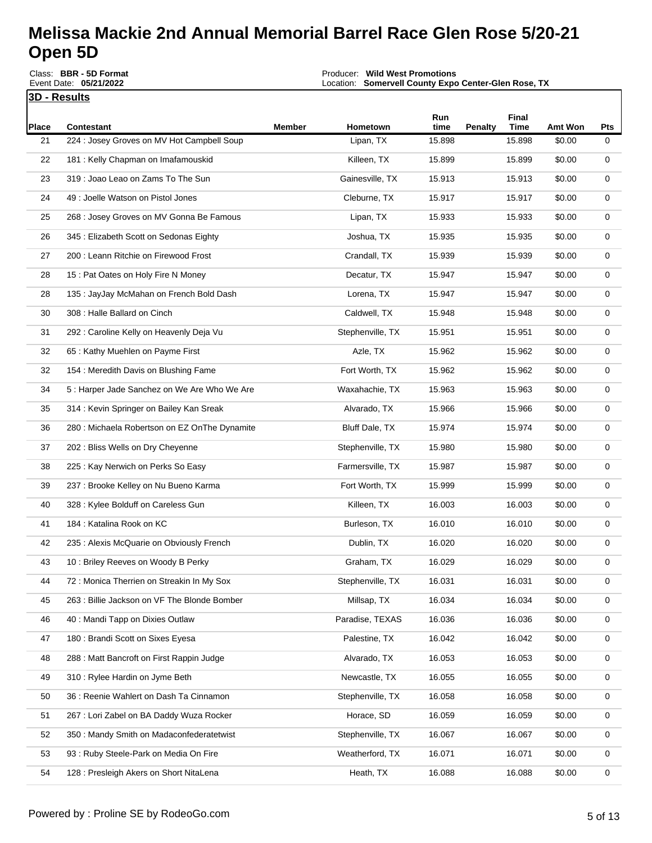**3D - Results** Round Description: **Single RacePlace Contestant Member Hometown Run time Penalty Final**  Producer: **Wild West Promotions** Location: **Somervell County Expo Center-Glen Rose, TX** Event Payout: **\$25,771.00** Total Signups**: 410** Class: **BBR - 5D Format** Event Date: **05/21/2022**

| Place | <b>Contestant</b>                             | Member | Hometown         | time   | <b>Penalty</b> | <b>Time</b> | Amt Won | Pts |
|-------|-----------------------------------------------|--------|------------------|--------|----------------|-------------|---------|-----|
| 21    | 224 : Josey Groves on MV Hot Campbell Soup    |        | Lipan, TX        | 15.898 |                | 15.898      | \$0.00  | 0   |
| 22    | 181 : Kelly Chapman on Imafamouskid           |        | Killeen, TX      | 15.899 |                | 15.899      | \$0.00  | 0   |
| 23    | 319 : Joao Leao on Zams To The Sun            |        | Gainesville, TX  | 15.913 |                | 15.913      | \$0.00  | 0   |
| 24    | 49 : Joelle Watson on Pistol Jones            |        | Cleburne, TX     | 15.917 |                | 15.917      | \$0.00  | 0   |
| 25    | 268 : Josey Groves on MV Gonna Be Famous      |        | Lipan, TX        | 15.933 |                | 15.933      | \$0.00  | 0   |
| 26    | 345 : Elizabeth Scott on Sedonas Eighty       |        | Joshua, TX       | 15.935 |                | 15.935      | \$0.00  | 0   |
| 27    | 200 : Leann Ritchie on Firewood Frost         |        | Crandall, TX     | 15.939 |                | 15.939      | \$0.00  | 0   |
| 28    | 15 : Pat Oates on Holy Fire N Money           |        | Decatur, TX      | 15.947 |                | 15.947      | \$0.00  | 0   |
| 28    | 135 : JayJay McMahan on French Bold Dash      |        | Lorena, TX       | 15.947 |                | 15.947      | \$0.00  | 0   |
| 30    | 308 : Halle Ballard on Cinch                  |        | Caldwell, TX     | 15.948 |                | 15.948      | \$0.00  | 0   |
| 31    | 292 : Caroline Kelly on Heavenly Deja Vu      |        | Stephenville, TX | 15.951 |                | 15.951      | \$0.00  | 0   |
| 32    | 65 : Kathy Muehlen on Payme First             |        | Azle, TX         | 15.962 |                | 15.962      | \$0.00  | 0   |
| 32    | 154 : Meredith Davis on Blushing Fame         |        | Fort Worth, TX   | 15.962 |                | 15.962      | \$0.00  | 0   |
| 34    | 5 : Harper Jade Sanchez on We Are Who We Are  |        | Waxahachie, TX   | 15.963 |                | 15.963      | \$0.00  | 0   |
| 35    | 314 : Kevin Springer on Bailey Kan Sreak      |        | Alvarado, TX     | 15.966 |                | 15.966      | \$0.00  | 0   |
| 36    | 280 : Michaela Robertson on EZ OnThe Dynamite |        | Bluff Dale, TX   | 15.974 |                | 15.974      | \$0.00  | 0   |
| 37    | 202 : Bliss Wells on Dry Cheyenne             |        | Stephenville, TX | 15.980 |                | 15.980      | \$0.00  | 0   |
| 38    | 225 : Kay Nerwich on Perks So Easy            |        | Farmersville, TX | 15.987 |                | 15.987      | \$0.00  | 0   |
| 39    | 237 : Brooke Kelley on Nu Bueno Karma         |        | Fort Worth, TX   | 15.999 |                | 15.999      | \$0.00  | 0   |
| 40    | 328 : Kylee Bolduff on Careless Gun           |        | Killeen, TX      | 16.003 |                | 16.003      | \$0.00  | 0   |
| 41    | 184 : Katalina Rook on KC                     |        | Burleson, TX     | 16.010 |                | 16.010      | \$0.00  | 0   |
| 42    | 235 : Alexis McQuarie on Obviously French     |        | Dublin, TX       | 16.020 |                | 16.020      | \$0.00  | 0   |
| 43    | 10: Briley Reeves on Woody B Perky            |        | Graham, TX       | 16.029 |                | 16.029      | \$0.00  | 0   |
| 44    | 72 : Monica Therrien on Streakin In My Sox    |        | Stephenville, TX | 16.031 |                | 16.031      | \$0.00  | 0   |
| 45    | 263 : Billie Jackson on VF The Blonde Bomber  |        | Millsap, TX      | 16.034 |                | 16.034      | \$0.00  | 0   |
| 46    | 40 : Mandi Tapp on Dixies Outlaw              |        | Paradise, TEXAS  | 16.036 |                | 16.036      | \$0.00  | 0   |
| 47    | 180 : Brandi Scott on Sixes Eyesa             |        | Palestine, TX    | 16.042 |                | 16.042      | \$0.00  | 0   |
| 48    | 288 : Matt Bancroft on First Rappin Judge     |        | Alvarado, TX     | 16.053 |                | 16.053      | \$0.00  | 0   |
| 49    | 310 : Rylee Hardin on Jyme Beth               |        | Newcastle, TX    | 16.055 |                | 16.055      | \$0.00  | 0   |
| 50    | 36 : Reenie Wahlert on Dash Ta Cinnamon       |        | Stephenville, TX | 16.058 |                | 16.058      | \$0.00  | 0   |
| 51    | 267 : Lori Zabel on BA Daddy Wuza Rocker      |        | Horace, SD       | 16.059 |                | 16.059      | \$0.00  | 0   |
| 52    | 350 : Mandy Smith on Madaconfederatetwist     |        | Stephenville, TX | 16.067 |                | 16.067      | \$0.00  | 0   |
| 53    | 93 : Ruby Steele-Park on Media On Fire        |        | Weatherford, TX  | 16.071 |                | 16.071      | \$0.00  | 0   |
| 54    | 128 : Presleigh Akers on Short NitaLena       |        | Heath, TX        | 16.088 |                | 16.088      | \$0.00  | 0   |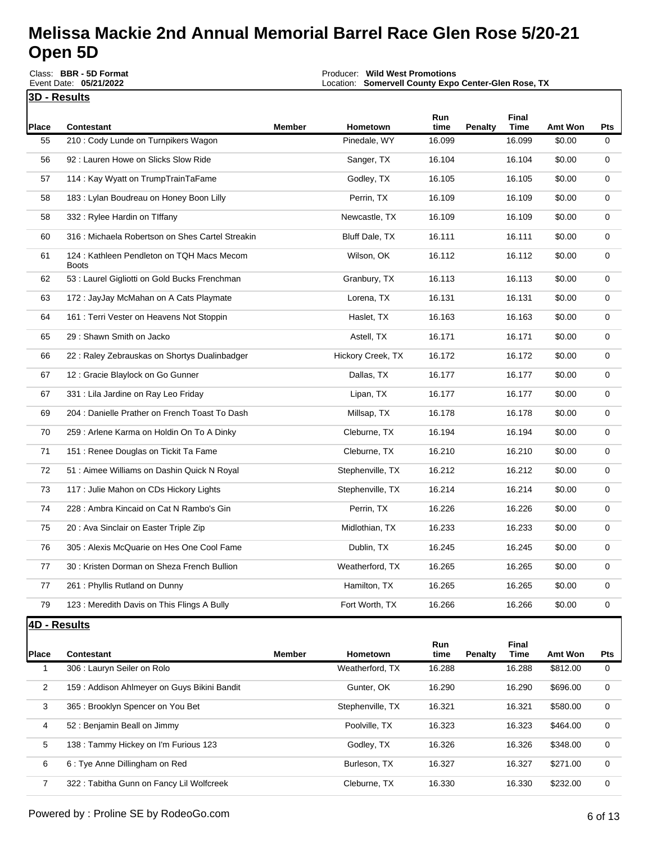|                | Event Date: 05/21/2022                                     |               | Location: Somervell County Expo Center-Glen Rose, TX |                |                |                       |                     |          |
|----------------|------------------------------------------------------------|---------------|------------------------------------------------------|----------------|----------------|-----------------------|---------------------|----------|
| 3D - Results   |                                                            |               |                                                      |                |                |                       |                     |          |
| <b>Place</b>   | <b>Contestant</b>                                          | <b>Member</b> | Hometown                                             | Run<br>time    | Penalty        | Final<br><b>Time</b>  | Amt Won             | Pts      |
| 55             | 210 : Cody Lunde on Turnpikers Wagon                       |               | Pinedale, WY                                         | 16.099         |                | 16.099                | \$0.00              | 0        |
| 56             | 92: Lauren Howe on Slicks Slow Ride                        |               | Sanger, TX                                           | 16.104         |                | 16.104                | \$0.00              | 0        |
| 57             | 114 : Kay Wyatt on TrumpTrainTaFame                        |               | Godley, TX                                           | 16.105         |                | 16.105                | \$0.00              | 0        |
| 58             | 183 : Lylan Boudreau on Honey Boon Lilly                   |               | Perrin, TX                                           | 16.109         |                | 16.109                | \$0.00              | 0        |
| 58             | 332 : Rylee Hardin on Tiffany                              |               | Newcastle, TX                                        | 16.109         |                | 16.109                | \$0.00              | 0        |
| 60             | 316 : Michaela Robertson on Shes Cartel Streakin           |               | Bluff Dale, TX                                       | 16.111         |                | 16.111                | \$0.00              | 0        |
| 61             | 124 : Kathleen Pendleton on TQH Macs Mecom<br><b>Boots</b> |               | Wilson, OK                                           | 16.112         |                | 16.112                | \$0.00              | 0        |
| 62             | 53 : Laurel Gigliotti on Gold Bucks Frenchman              |               | Granbury, TX                                         | 16.113         |                | 16.113                | \$0.00              | 0        |
| 63             | 172 : JayJay McMahan on A Cats Playmate                    |               | Lorena, TX                                           | 16.131         |                | 16.131                | \$0.00              | 0        |
| 64             | 161 : Terri Vester on Heavens Not Stoppin                  |               | Haslet, TX                                           | 16.163         |                | 16.163                | \$0.00              | 0        |
| 65             | 29 : Shawn Smith on Jacko                                  |               | Astell, TX                                           | 16.171         |                | 16.171                | \$0.00              | 0        |
| 66             | 22 : Raley Zebrauskas on Shortys Dualinbadger              |               | Hickory Creek, TX                                    | 16.172         |                | 16.172                | \$0.00              | 0        |
| 67             | 12 : Gracie Blaylock on Go Gunner                          |               | Dallas, TX                                           | 16.177         |                | 16.177                | \$0.00              | 0        |
| 67             | 331 : Lila Jardine on Ray Leo Friday                       |               | Lipan, TX                                            | 16.177         |                | 16.177                | \$0.00              | 0        |
| 69             | 204 : Danielle Prather on French Toast To Dash             |               | Millsap, TX                                          | 16.178         |                | 16.178                | \$0.00              | 0        |
| 70             | 259 : Arlene Karma on Holdin On To A Dinky                 |               | Cleburne, TX                                         | 16.194         |                | 16.194                | \$0.00              | 0        |
| 71             | 151 : Renee Douglas on Tickit Ta Fame                      |               | Cleburne, TX                                         | 16.210         |                | 16.210                | \$0.00              | 0        |
| 72             | 51 : Aimee Williams on Dashin Quick N Royal                |               | Stephenville, TX                                     | 16.212         |                | 16.212                | \$0.00              | 0        |
| 73             | 117 : Julie Mahon on CDs Hickory Lights                    |               | Stephenville, TX                                     | 16.214         |                | 16.214                | \$0.00              | 0        |
| 74             | 228 : Ambra Kincaid on Cat N Rambo's Gin                   |               | Perrin, TX                                           | 16.226         |                | 16.226                | \$0.00              | 0        |
| 75             | 20 : Ava Sinclair on Easter Triple Zip                     |               | Midlothian, TX                                       | 16.233         |                | 16.233                | \$0.00              | 0        |
| 76             | 305 : Alexis McQuarie on Hes One Cool Fame                 |               | Dublin, TX                                           | 16.245         |                | 16.245                | \$0.00              | 0        |
| 77             | 30 : Kristen Dorman on Sheza French Bullion                |               | Weatherford, TX                                      | 16.265         |                | 16.265                | \$0.00              | 0        |
| 77             | 261 : Phyllis Rutland on Dunny                             |               | Hamilton, TX                                         | 16.265         |                | 16.265                | \$0.00              | 0        |
| 79             | 123 : Meredith Davis on This Flings A Bully                |               | Fort Worth, TX                                       | 16.266         |                | 16.266                | \$0.00              | 0        |
| 4D - Results   |                                                            |               |                                                      |                |                |                       |                     |          |
|                |                                                            |               |                                                      | Run            |                | Final                 |                     |          |
| Place<br>1     | Contestant<br>306 : Lauryn Seiler on Rolo                  | <b>Member</b> | Hometown<br>Weatherford, TX                          | time<br>16.288 | <b>Penalty</b> | <b>Time</b><br>16.288 | Amt Won<br>\$812.00 | Pts<br>0 |
| $\overline{2}$ | 159: Addison Ahlmeyer on Guys Bikini Bandit                |               | Gunter, OK                                           | 16.290         |                | 16.290                | \$696.00            | 0        |
| 3              | 365: Brooklyn Spencer on You Bet                           |               | Stephenville, TX                                     | 16.321         |                | 16.321                | \$580.00            | 0        |
| 4              | 52 : Benjamin Beall on Jimmy                               |               | Poolville, TX                                        | 16.323         |                | 16.323                | \$464.00            | 0        |
| 5              | 138 : Tammy Hickey on I'm Furious 123                      |               | Godley, TX                                           | 16.326         |                | 16.326                | \$348.00            | 0        |
| 6              | 6 : Tye Anne Dillingham on Red                             |               | Burleson, TX                                         | 16.327         |                | 16.327                | \$271.00            | 0        |

7 322 : Tabitha Gunn on Fancy Lil Wolfcreek Cleburne, TX 16.330 16.330 \$232.00 0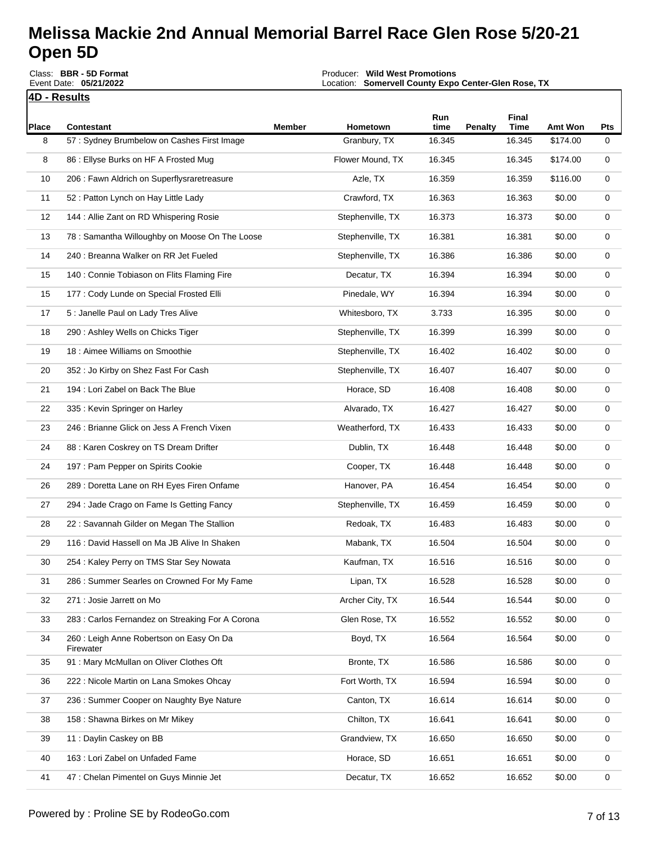**4D - Results** Round Description: **Single Race**Class: **BBR - 5D Format** Event Date: **05/21/2022**

Producer: **Wild West Promotions** Location: **Somervell County Expo Center-Glen Rose, TX**

Event Payout: **\$25,771.00** Total Signups**: 410**

|            |                                                                 |        |                          | Run            |                | Final                 |                            |             |
|------------|-----------------------------------------------------------------|--------|--------------------------|----------------|----------------|-----------------------|----------------------------|-------------|
| Place<br>8 | <b>Contestant</b><br>57: Sydney Brumbelow on Cashes First Image | Member | Hometown<br>Granbury, TX | time<br>16.345 | <b>Penalty</b> | <b>Time</b><br>16.345 | <b>Amt Won</b><br>\$174.00 | Pts<br>0    |
|            |                                                                 |        |                          |                |                |                       |                            |             |
| 8          | 86 : Ellyse Burks on HF A Frosted Mug                           |        | Flower Mound, TX         | 16.345         |                | 16.345                | \$174.00                   | $\mathbf 0$ |
| 10         | 206 : Fawn Aldrich on Superflysraretreasure                     |        | Azle, TX                 | 16.359         |                | 16.359                | \$116.00                   | 0           |
| 11         | 52 : Patton Lynch on Hay Little Lady                            |        | Crawford, TX             | 16.363         |                | 16.363                | \$0.00                     | 0           |
| 12         | 144 : Allie Zant on RD Whispering Rosie                         |        | Stephenville, TX         | 16.373         |                | 16.373                | \$0.00                     | 0           |
| 13         | 78 : Samantha Willoughby on Moose On The Loose                  |        | Stephenville, TX         | 16.381         |                | 16.381                | \$0.00                     | 0           |
| 14         | 240 : Breanna Walker on RR Jet Fueled                           |        | Stephenville, TX         | 16.386         |                | 16.386                | \$0.00                     | 0           |
| 15         | 140 : Connie Tobiason on Flits Flaming Fire                     |        | Decatur, TX              | 16.394         |                | 16.394                | \$0.00                     | 0           |
| 15         | 177 : Cody Lunde on Special Frosted Elli                        |        | Pinedale, WY             | 16.394         |                | 16.394                | \$0.00                     | 0           |
| 17         | 5 : Janelle Paul on Lady Tres Alive                             |        | Whitesboro, TX           | 3.733          |                | 16.395                | \$0.00                     | $\mathbf 0$ |
| 18         | 290 : Ashley Wells on Chicks Tiger                              |        | Stephenville, TX         | 16.399         |                | 16.399                | \$0.00                     | 0           |
| 19         | 18 : Aimee Williams on Smoothie                                 |        | Stephenville, TX         | 16.402         |                | 16.402                | \$0.00                     | 0           |
| 20         | 352 : Jo Kirby on Shez Fast For Cash                            |        | Stephenville, TX         | 16.407         |                | 16.407                | \$0.00                     | 0           |
| 21         | 194 : Lori Zabel on Back The Blue                               |        | Horace, SD               | 16.408         |                | 16.408                | \$0.00                     | 0           |
| 22         | 335 : Kevin Springer on Harley                                  |        | Alvarado, TX             | 16.427         |                | 16.427                | \$0.00                     | 0           |
| 23         | 246 : Brianne Glick on Jess A French Vixen                      |        | Weatherford, TX          | 16.433         |                | 16.433                | \$0.00                     | 0           |
| 24         | 88 : Karen Coskrey on TS Dream Drifter                          |        | Dublin, TX               | 16.448         |                | 16.448                | \$0.00                     | 0           |
| 24         | 197 : Pam Pepper on Spirits Cookie                              |        | Cooper, TX               | 16.448         |                | 16.448                | \$0.00                     | 0           |
| 26         | 289 : Doretta Lane on RH Eyes Firen Onfame                      |        | Hanover, PA              | 16.454         |                | 16.454                | \$0.00                     | 0           |
| 27         | 294 : Jade Crago on Fame Is Getting Fancy                       |        | Stephenville, TX         | 16.459         |                | 16.459                | \$0.00                     | 0           |
| 28         | 22: Savannah Gilder on Megan The Stallion                       |        | Redoak, TX               | 16.483         |                | 16.483                | \$0.00                     | 0           |
| 29         | 116 : David Hassell on Ma JB Alive In Shaken                    |        | Mabank, TX               | 16.504         |                | 16.504                | \$0.00                     | 0           |
| 30         | 254 : Kaley Perry on TMS Star Sey Nowata                        |        | Kaufman, TX              | 16.516         |                | 16.516                | \$0.00                     | 0           |
| 31         | 286 : Summer Searles on Crowned For My Fame                     |        | Lipan, TX                | 16.528         |                | 16.528                | \$0.00                     | 0           |
| 32         | 271 : Josie Jarrett on Mo                                       |        | Archer City, TX          | 16.544         |                | 16.544                | \$0.00                     | 0           |
| 33         | 283 : Carlos Fernandez on Streaking For A Corona                |        | Glen Rose, TX            | 16.552         |                | 16.552                | \$0.00                     | 0           |
| 34         | 260 : Leigh Anne Robertson on Easy On Da<br>Firewater           |        | Boyd, TX                 | 16.564         |                | 16.564                | \$0.00                     | 0           |
| 35         | 91: Mary McMullan on Oliver Clothes Oft                         |        | Bronte, TX               | 16.586         |                | 16.586                | \$0.00                     | 0           |
| 36         | 222 : Nicole Martin on Lana Smokes Ohcay                        |        | Fort Worth, TX           | 16.594         |                | 16.594                | \$0.00                     | 0           |
| 37         | 236 : Summer Cooper on Naughty Bye Nature                       |        | Canton, TX               | 16.614         |                | 16.614                | \$0.00                     | 0           |
| 38         | 158 : Shawna Birkes on Mr Mikey                                 |        | Chilton, TX              | 16.641         |                | 16.641                | \$0.00                     | 0           |
| 39         | 11 : Daylin Caskey on BB                                        |        | Grandview, TX            | 16.650         |                | 16.650                | \$0.00                     | 0           |
| 40         | 163 : Lori Zabel on Unfaded Fame                                |        | Horace, SD               | 16.651         |                | 16.651                | \$0.00                     | 0           |
| 41         | 47 : Chelan Pimentel on Guys Minnie Jet                         |        | Decatur, TX              | 16.652         |                | 16.652                | \$0.00                     | 0           |

I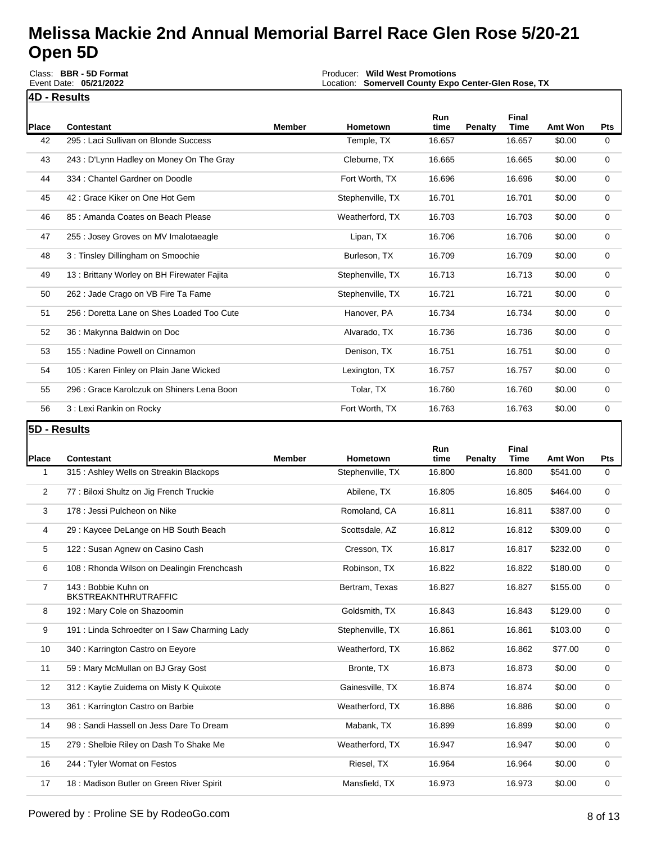|                | Class: BBR - 5D Format<br>Event Date: 05/21/2022             |        | Producer: Wild West Promotions<br>Location: Somervell County Expo Center-Glen Rose, TX |                |                |                |                     |                 |
|----------------|--------------------------------------------------------------|--------|----------------------------------------------------------------------------------------|----------------|----------------|----------------|---------------------|-----------------|
|                | <u>4D - Results</u>                                          |        |                                                                                        |                |                |                |                     |                 |
| <b>Place</b>   | <b>Contestant</b>                                            | Member | Hometown                                                                               | Run<br>time    | <b>Penalty</b> | Final<br>Time  | Amt Won             | <b>Pts</b>      |
| 42             | 295 : Laci Sullivan on Blonde Success                        |        | Temple, TX                                                                             | 16.657         |                | 16.657         | \$0.00              | 0               |
| 43             | 243 : D'Lynn Hadley on Money On The Gray                     |        | Cleburne, TX                                                                           | 16.665         |                | 16.665         | \$0.00              | 0               |
| 44             | 334 : Chantel Gardner on Doodle                              |        | Fort Worth, TX                                                                         | 16.696         |                | 16.696         | \$0.00              | 0               |
| 45             | 42 : Grace Kiker on One Hot Gem                              |        | Stephenville, TX                                                                       | 16.701         |                | 16.701         | \$0.00              | 0               |
| 46             | 85 : Amanda Coates on Beach Please                           |        | Weatherford, TX                                                                        | 16.703         |                | 16.703         | \$0.00              | 0               |
| 47             | 255 : Josey Groves on MV Imalotaeagle                        |        | Lipan, TX                                                                              | 16.706         |                | 16.706         | \$0.00              | 0               |
| 48             | 3: Tinsley Dillingham on Smoochie                            |        | Burleson, TX                                                                           | 16.709         |                | 16.709         | \$0.00              | 0               |
| 49             | 13 : Brittany Worley on BH Firewater Fajita                  |        | Stephenville, TX                                                                       | 16.713         |                | 16.713         | \$0.00              | 0               |
| 50             | 262 : Jade Crago on VB Fire Ta Fame                          |        | Stephenville, TX                                                                       | 16.721         |                | 16.721         | \$0.00              | 0               |
| 51             | 256 : Doretta Lane on Shes Loaded Too Cute                   |        | Hanover, PA                                                                            | 16.734         |                | 16.734         | \$0.00              | 0               |
| 52             | 36 : Makynna Baldwin on Doc                                  |        | Alvarado, TX                                                                           | 16.736         |                | 16.736         | \$0.00              | 0               |
| 53             | 155 : Nadine Powell on Cinnamon                              |        | Denison, TX                                                                            | 16.751         |                | 16.751         | \$0.00              | 0               |
| 54             | 105 : Karen Finley on Plain Jane Wicked                      |        | Lexington, TX                                                                          | 16.757         |                | 16.757         | \$0.00              | 0               |
| 55             | 296 : Grace Karolczuk on Shiners Lena Boon                   |        | Tolar, TX                                                                              | 16.760         |                | 16.760         | \$0.00              | 0               |
| 56             | 3 : Lexi Rankin on Rocky                                     |        | Fort Worth, TX                                                                         | 16.763         |                | 16.763         | \$0.00              | 0               |
|                |                                                              |        |                                                                                        |                |                |                |                     |                 |
| 5D - Results   |                                                              |        |                                                                                        |                |                |                |                     |                 |
|                |                                                              |        |                                                                                        | Run            |                | Final          |                     |                 |
| Place<br>1     | <b>Contestant</b><br>315 : Ashley Wells on Streakin Blackops | Member | Hometown<br>Stephenville, TX                                                           | time<br>16.800 | Penalty        | Time<br>16.800 | Amt Won<br>\$541.00 | <b>Pts</b><br>0 |
| 2              | 77 : Biloxi Shultz on Jig French Truckie                     |        | Abilene, TX                                                                            | 16.805         |                | 16.805         | \$464.00            | 0               |
| 3              | 178 : Jessi Pulcheon on Nike                                 |        | Romoland, CA                                                                           | 16.811         |                | 16.811         | \$387.00            | 0               |
| 4              | 29 : Kaycee DeLange on HB South Beach                        |        | Scottsdale, AZ                                                                         | 16.812         |                | 16.812         | \$309.00            | 0               |
| 5              | 122 : Susan Agnew on Casino Cash                             |        | Cresson, TX                                                                            | 16.817         |                | 16.817         | \$232.00            | 0               |
| 6              | 108 : Rhonda Wilson on Dealingin Frenchcash                  |        | Robinson, TX                                                                           | 16.822         |                | 16.822         | \$180.00            | 0               |
| $\overline{7}$ | 143 : Bobbie Kuhn on                                         |        | Bertram, Texas                                                                         | 16.827         |                | 16.827         | \$155.00            | 0               |
| 8              | <b>BKSTREAKNTHRUTRAFFIC</b><br>192 : Mary Cole on Shazoomin  |        | Goldsmith, TX                                                                          | 16.843         |                | 16.843         | \$129.00            | 0               |
| 9              | 191: Linda Schroedter on I Saw Charming Lady                 |        | Stephenville, TX                                                                       | 16.861         |                | 16.861         | \$103.00            | 0               |
| 10             | 340 : Karrington Castro on Eeyore                            |        | Weatherford, TX                                                                        | 16.862         |                | 16.862         | \$77.00             | 0               |
| 11             | 59: Mary McMullan on BJ Gray Gost                            |        | Bronte, TX                                                                             | 16.873         |                | 16.873         | \$0.00              | 0               |
| 12             | 312 : Kaytie Zuidema on Misty K Quixote                      |        | Gainesville, TX                                                                        | 16.874         |                | 16.874         | \$0.00              | 0               |
| 13             | 361 : Karrington Castro on Barbie                            |        | Weatherford, TX                                                                        | 16.886         |                | 16.886         | \$0.00              | 0               |
| 14             | 98 : Sandi Hassell on Jess Dare To Dream                     |        | Mabank, TX                                                                             | 16.899         |                | 16.899         | \$0.00              | 0               |
| 15             | 279 : Shelbie Riley on Dash To Shake Me                      |        | Weatherford, TX                                                                        | 16.947         |                | 16.947         | \$0.00              | 0               |

17 18 : Madison Butler on Green River Spirit Mansfield, TX 16.973 16.973 \$0.00 0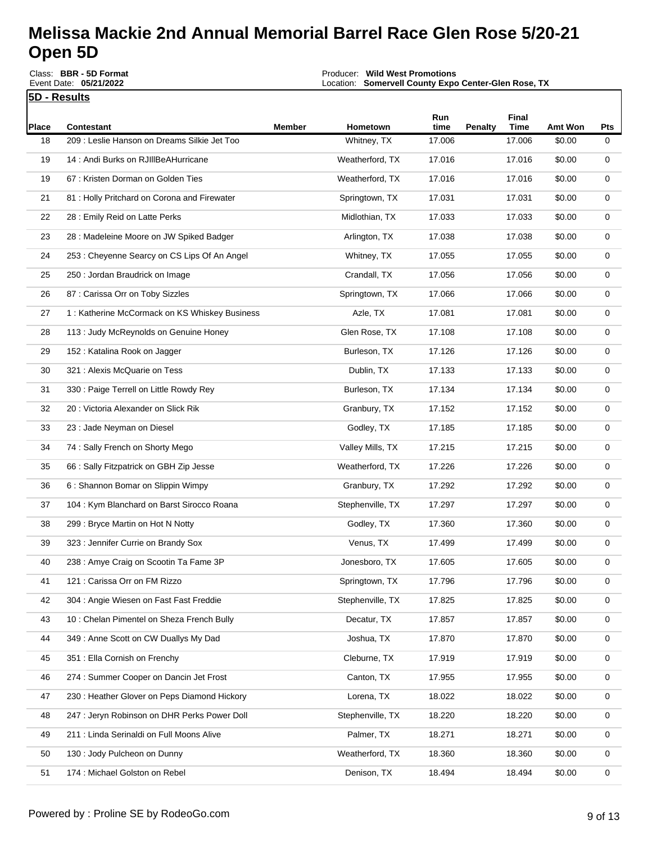**5D - Results** Round Description: **Single Race**Class: **BBR - 5D Format** Event Date: **05/21/2022**

Producer: **Wild West Promotions** Location: **Somervell County Expo Center-Glen Rose, TX**

Event Payout: **\$25,771.00** Total Signups**: 410**

| Place | <b>Contestant</b>                              | <b>Member</b> | Hometown         | Run<br>time | <b>Penalty</b> | Final<br>Time | Amt Won | Pts |
|-------|------------------------------------------------|---------------|------------------|-------------|----------------|---------------|---------|-----|
| 18    | 209 : Leslie Hanson on Dreams Silkie Jet Too   |               | Whitney, TX      | 17.006      |                | 17.006        | \$0.00  | 0   |
| 19    | 14 : Andi Burks on RJIIIBeAHurricane           |               | Weatherford, TX  | 17.016      |                | 17.016        | \$0.00  | 0   |
| 19    | 67 : Kristen Dorman on Golden Ties             |               | Weatherford, TX  | 17.016      |                | 17.016        | \$0.00  | 0   |
| 21    | 81 : Holly Pritchard on Corona and Firewater   |               | Springtown, TX   | 17.031      |                | 17.031        | \$0.00  | 0   |
| 22    | 28 : Emily Reid on Latte Perks                 |               | Midlothian, TX   | 17.033      |                | 17.033        | \$0.00  | 0   |
| 23    | 28 : Madeleine Moore on JW Spiked Badger       |               | Arlington, TX    | 17.038      |                | 17.038        | \$0.00  | 0   |
| 24    | 253 : Cheyenne Searcy on CS Lips Of An Angel   |               | Whitney, TX      | 17.055      |                | 17.055        | \$0.00  | 0   |
| 25    | 250 : Jordan Braudrick on Image                |               | Crandall, TX     | 17.056      |                | 17.056        | \$0.00  | 0   |
| 26    | 87 : Carissa Orr on Toby Sizzles               |               | Springtown, TX   | 17.066      |                | 17.066        | \$0.00  | 0   |
| 27    | 1 : Katherine McCormack on KS Whiskey Business |               | Azle, TX         | 17.081      |                | 17.081        | \$0.00  | 0   |
| 28    | 113 : Judy McReynolds on Genuine Honey         |               | Glen Rose, TX    | 17.108      |                | 17.108        | \$0.00  | 0   |
| 29    | 152 : Katalina Rook on Jagger                  |               | Burleson, TX     | 17.126      |                | 17.126        | \$0.00  | 0   |
| 30    | 321 : Alexis McQuarie on Tess                  |               | Dublin, TX       | 17.133      |                | 17.133        | \$0.00  | 0   |
| 31    | 330 : Paige Terrell on Little Rowdy Rey        |               | Burleson, TX     | 17.134      |                | 17.134        | \$0.00  | 0   |
| 32    | 20: Victoria Alexander on Slick Rik            |               | Granbury, TX     | 17.152      |                | 17.152        | \$0.00  | 0   |
| 33    | 23 : Jade Neyman on Diesel                     |               | Godley, TX       | 17.185      |                | 17.185        | \$0.00  | 0   |
| 34    | 74: Sally French on Shorty Mego                |               | Valley Mills, TX | 17.215      |                | 17.215        | \$0.00  | 0   |
| 35    | 66 : Sally Fitzpatrick on GBH Zip Jesse        |               | Weatherford, TX  | 17.226      |                | 17.226        | \$0.00  | 0   |
| 36    | 6 : Shannon Bomar on Slippin Wimpy             |               | Granbury, TX     | 17.292      |                | 17.292        | \$0.00  | 0   |
| 37    | 104 : Kym Blanchard on Barst Sirocco Roana     |               | Stephenville, TX | 17.297      |                | 17.297        | \$0.00  | 0   |
| 38    | 299 : Bryce Martin on Hot N Notty              |               | Godley, TX       | 17.360      |                | 17.360        | \$0.00  | 0   |
| 39    | 323 : Jennifer Currie on Brandy Sox            |               | Venus, TX        | 17.499      |                | 17.499        | \$0.00  | 0   |
| 40    | 238 : Amye Craig on Scootin Ta Fame 3P         |               | Jonesboro, TX    | 17.605      |                | 17.605        | \$0.00  | 0   |
| 41    | 121 : Carissa Orr on FM Rizzo                  |               | Springtown, TX   | 17.796      |                | 17.796        | \$0.00  | 0   |
| 42    | 304 : Angie Wiesen on Fast Fast Freddie        |               | Stephenville, TX | 17.825      |                | 17.825        | \$0.00  | 0   |
| 43    | 10: Chelan Pimentel on Sheza French Bully      |               | Decatur, TX      | 17.857      |                | 17.857        | \$0.00  | 0   |
| 44    | 349 : Anne Scott on CW Duallys My Dad          |               | Joshua, TX       | 17.870      |                | 17.870        | \$0.00  | 0   |
| 45    | 351 : Ella Cornish on Frenchy                  |               | Cleburne, TX     | 17.919      |                | 17.919        | \$0.00  | 0   |
| 46    | 274 : Summer Cooper on Dancin Jet Frost        |               | Canton, TX       | 17.955      |                | 17.955        | \$0.00  | 0   |
| 47    | 230 : Heather Glover on Peps Diamond Hickory   |               | Lorena, TX       | 18.022      |                | 18.022        | \$0.00  | 0   |
| 48    | 247 : Jeryn Robinson on DHR Perks Power Doll   |               | Stephenville, TX | 18.220      |                | 18.220        | \$0.00  | 0   |
| 49    | 211 : Linda Serinaldi on Full Moons Alive      |               | Palmer, TX       | 18.271      |                | 18.271        | \$0.00  | 0   |
| 50    | 130 : Jody Pulcheon on Dunny                   |               | Weatherford, TX  | 18.360      |                | 18.360        | \$0.00  | 0   |
| 51    | 174 : Michael Golston on Rebel                 |               | Denison, TX      | 18.494      |                | 18.494        | \$0.00  | 0   |

 $\mathbf l$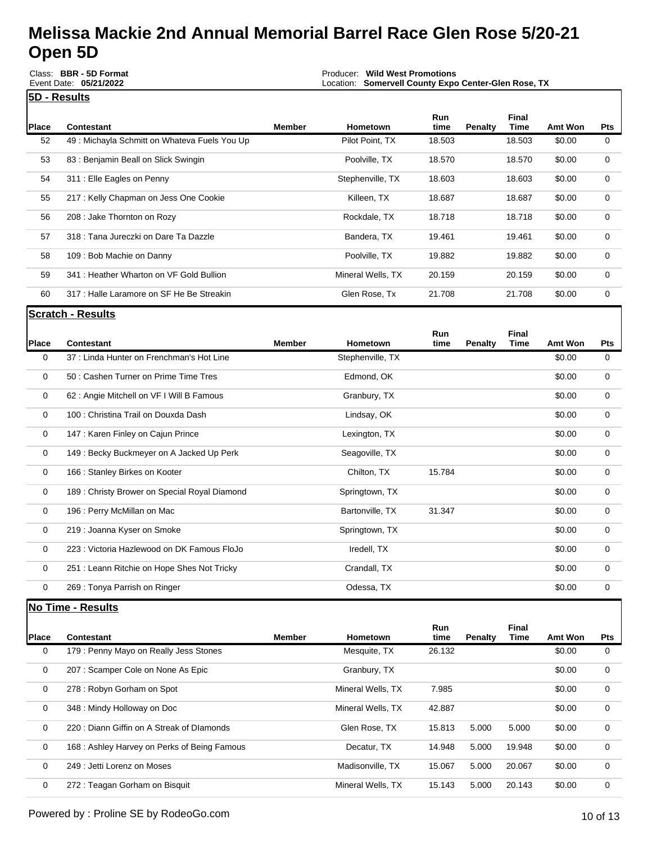**5D - Results** Round Description: **Single Race**Class: **BBR - 5D Format** Event Date: **05/21/2022**

Producer: **Wild West Promotions** Location: **Somervell County Expo Center-Glen Rose, TX**

Event Payout: **\$25,771.00** Total Signups**: 410**

| Place | Contestant                                    | Member | <b>Hometown</b>   | <b>Run</b><br>time | Penalty | Final<br>Time | Amt Won | <b>Pts</b> |
|-------|-----------------------------------------------|--------|-------------------|--------------------|---------|---------------|---------|------------|
|       |                                               |        |                   |                    |         |               |         |            |
| 52    | 49 : Michayla Schmitt on Whateva Fuels You Up |        | Pilot Point, TX   | 18.503             |         | 18.503        | \$0.00  | 0          |
| 53    | 83: Benjamin Beall on Slick Swingin           |        | Poolville, TX     | 18.570             |         | 18.570        | \$0.00  | 0          |
| 54    | 311 : Elle Eagles on Penny                    |        | Stephenville, TX  | 18.603             |         | 18.603        | \$0.00  | $\Omega$   |
| 55    | 217: Kelly Chapman on Jess One Cookie         |        | Killeen, TX       | 18.687             |         | 18.687        | \$0.00  | 0          |
| 56    | 208 : Jake Thornton on Rozy                   |        | Rockdale, TX      | 18.718             |         | 18.718        | \$0.00  | $\Omega$   |
| 57    | 318 : Tana Jureczki on Dare Ta Dazzle         |        | Bandera, TX       | 19.461             |         | 19.461        | \$0.00  | $\Omega$   |
| 58    | 109 : Bob Machie on Danny                     |        | Poolville, TX     | 19.882             |         | 19.882        | \$0.00  | $\Omega$   |
| 59    | 341 : Heather Wharton on VF Gold Bullion      |        | Mineral Wells, TX | 20.159             |         | 20.159        | \$0.00  | $\Omega$   |
| 60    | 317 : Halle Laramore on SF He Be Streakin     |        | Glen Rose, Tx     | 21.708             |         | 21.708        | \$0.00  | 0          |

**Scratch - Results**

| Place       | <b>Contestant</b>                             | <b>Member</b> | <b>Hometown</b>  | Run<br>time | <b>Penalty</b> | Final<br>Time | <b>Amt Won</b> | Pts         |
|-------------|-----------------------------------------------|---------------|------------------|-------------|----------------|---------------|----------------|-------------|
| 0           | 37 : Linda Hunter on Frenchman's Hot Line     |               | Stephenville, TX |             |                |               | \$0.00         | $\mathbf 0$ |
| 0           | 50 : Cashen Turner on Prime Time Tres         |               | Edmond, OK       |             |                |               | \$0.00         | 0           |
| 0           | 62 : Angie Mitchell on VF I Will B Famous     |               | Granbury, TX     |             |                |               | \$0.00         | 0           |
| 0           | 100 : Christina Trail on Douxda Dash          |               | Lindsay, OK      |             |                |               | \$0.00         | $\Omega$    |
| 0           | 147 : Karen Finley on Cajun Prince            |               | Lexington, TX    |             |                |               | \$0.00         | 0           |
| 0           | 149 : Becky Buckmeyer on A Jacked Up Perk     |               | Seagoville, TX   |             |                |               | \$0.00         | 0           |
| 0           | 166 : Stanley Birkes on Kooter                |               | Chilton, TX      | 15.784      |                |               | \$0.00         | $\mathbf 0$ |
| 0           | 189 : Christy Brower on Special Royal Diamond |               | Springtown, TX   |             |                |               | \$0.00         | 0           |
| 0           | 196 : Perry McMillan on Mac                   |               | Bartonville, TX  | 31.347      |                |               | \$0.00         | 0           |
| $\mathbf 0$ | 219 : Joanna Kyser on Smoke                   |               | Springtown, TX   |             |                |               | \$0.00         | 0           |
| 0           | 223 : Victoria Hazlewood on DK Famous FloJo   |               | Iredell, TX      |             |                |               | \$0.00         | 0           |
| 0           | 251 : Leann Ritchie on Hope Shes Not Tricky   |               | Crandall, TX     |             |                |               | \$0.00         | 0           |
| 0           | 269 : Tonya Parrish on Ringer                 |               | Odessa, TX       |             |                |               | \$0.00         | 0           |

**No Time - Results**

| <b>Place</b> | Contestant                                   | <b>Member</b> | <b>Hometown</b>   | Run<br>time | <b>Penalty</b> | Final<br>Time | Amt Won | <b>Pts</b> |
|--------------|----------------------------------------------|---------------|-------------------|-------------|----------------|---------------|---------|------------|
| 0            | 179 : Penny Mayo on Really Jess Stones       |               | Mesquite, TX      | 26.132      |                |               | \$0.00  | 0          |
| 0            | 207 : Scamper Cole on None As Epic           |               | Granbury, TX      |             |                |               | \$0.00  | 0          |
| 0            | 278 : Robyn Gorham on Spot                   |               | Mineral Wells, TX | 7.985       |                |               | \$0.00  | 0          |
| 0            | 348 : Mindy Holloway on Doc                  |               | Mineral Wells, TX | 42.887      |                |               | \$0.00  | $\Omega$   |
| 0            | 220 : Diann Giffin on A Streak of Dlamonds   |               | Glen Rose, TX     | 15.813      | 5.000          | 5.000         | \$0.00  | 0          |
| 0            | 168 : Ashley Harvey on Perks of Being Famous |               | Decatur, TX       | 14.948      | 5.000          | 19.948        | \$0.00  | 0          |
| 0            | 249 : Jetti Lorenz on Moses                  |               | Madisonville, TX  | 15.067      | 5.000          | 20.067        | \$0.00  | $\Omega$   |
| 0            | 272 : Teagan Gorham on Bisquit               |               | Mineral Wells, TX | 15.143      | 5.000          | 20.143        | \$0.00  | $\Omega$   |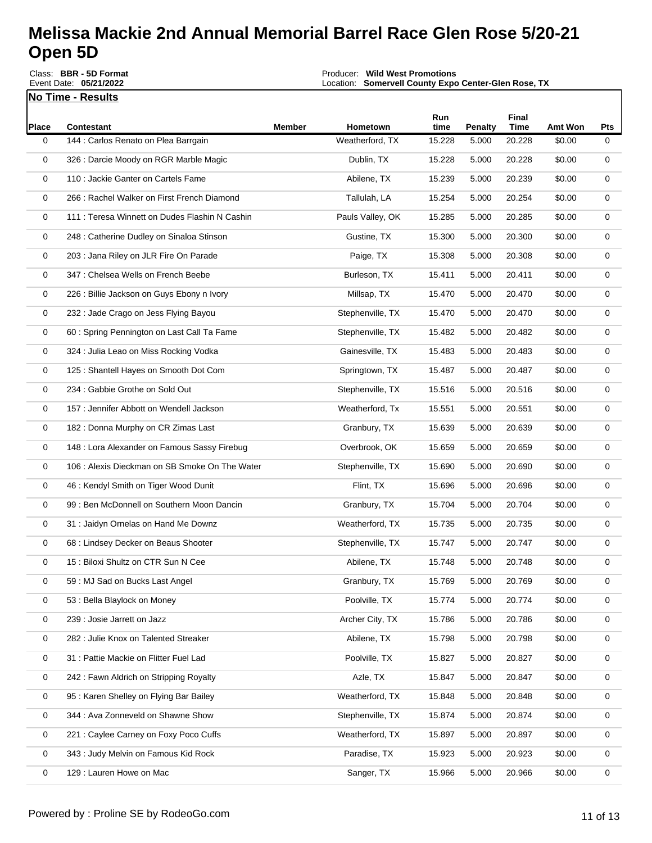**No Time - Results** Class: **BBR - 5D Format** Event Date: **05/21/2022**

Producer: **Wild West Promotions**

Location: **Somervell County Expo Center-Glen Rose, TX** Event Payout: **\$25,771.00** Total Signups**: 410**

| Place | <b>Contestant</b>                              | <b>Member</b> | Hometown         | Run<br>time | <b>Penalty</b> | Final<br><b>Time</b> | <b>Amt Won</b> | Pts |
|-------|------------------------------------------------|---------------|------------------|-------------|----------------|----------------------|----------------|-----|
| 0     | 144 : Carlos Renato on Plea Barrgain           |               | Weatherford, TX  | 15.228      | 5.000          | 20.228               | \$0.00         | 0   |
| 0     | 326 : Darcie Moody on RGR Marble Magic         |               | Dublin, TX       | 15.228      | 5.000          | 20.228               | \$0.00         | 0   |
| 0     | 110 : Jackie Ganter on Cartels Fame            |               | Abilene, TX      | 15.239      | 5.000          | 20.239               | \$0.00         | 0   |
| 0     | 266 : Rachel Walker on First French Diamond    |               | Tallulah, LA     | 15.254      | 5.000          | 20.254               | \$0.00         | 0   |
| 0     | 111 : Teresa Winnett on Dudes Flashin N Cashin |               | Pauls Valley, OK | 15.285      | 5.000          | 20.285               | \$0.00         | 0   |
| 0     | 248 : Catherine Dudley on Sinaloa Stinson      |               | Gustine, TX      | 15.300      | 5.000          | 20.300               | \$0.00         | 0   |
| 0     | 203 : Jana Riley on JLR Fire On Parade         |               | Paige, TX        | 15.308      | 5.000          | 20.308               | \$0.00         | 0   |
| 0     | 347 : Chelsea Wells on French Beebe            |               | Burleson, TX     | 15.411      | 5.000          | 20.411               | \$0.00         | 0   |
| 0     | 226 : Billie Jackson on Guys Ebony n Ivory     |               | Millsap, TX      | 15.470      | 5.000          | 20.470               | \$0.00         | 0   |
| 0     | 232 : Jade Crago on Jess Flying Bayou          |               | Stephenville, TX | 15.470      | 5.000          | 20.470               | \$0.00         | 0   |
| 0     | 60 : Spring Pennington on Last Call Ta Fame    |               | Stephenville, TX | 15.482      | 5.000          | 20.482               | \$0.00         | 0   |
| 0     | 324 : Julia Leao on Miss Rocking Vodka         |               | Gainesville, TX  | 15.483      | 5.000          | 20.483               | \$0.00         | 0   |
| 0     | 125 : Shantell Hayes on Smooth Dot Com         |               | Springtown, TX   | 15.487      | 5.000          | 20.487               | \$0.00         | 0   |
| 0     | 234 : Gabbie Grothe on Sold Out                |               | Stephenville, TX | 15.516      | 5.000          | 20.516               | \$0.00         | 0   |
| 0     | 157 : Jennifer Abbott on Wendell Jackson       |               | Weatherford, Tx  | 15.551      | 5.000          | 20.551               | \$0.00         | 0   |
| 0     | 182 : Donna Murphy on CR Zimas Last            |               | Granbury, TX     | 15.639      | 5.000          | 20.639               | \$0.00         | 0   |
| 0     | 148 : Lora Alexander on Famous Sassy Firebug   |               | Overbrook, OK    | 15.659      | 5.000          | 20.659               | \$0.00         | 0   |
| 0     | 106 : Alexis Dieckman on SB Smoke On The Water |               | Stephenville, TX | 15.690      | 5.000          | 20.690               | \$0.00         | 0   |
| 0     | 46 : Kendyl Smith on Tiger Wood Dunit          |               | Flint, TX        | 15.696      | 5.000          | 20.696               | \$0.00         | 0   |
| 0     | 99 : Ben McDonnell on Southern Moon Dancin     |               | Granbury, TX     | 15.704      | 5.000          | 20.704               | \$0.00         | 0   |
| 0     | 31 : Jaidyn Ornelas on Hand Me Downz           |               | Weatherford, TX  | 15.735      | 5.000          | 20.735               | \$0.00         | 0   |
| 0     | 68 : Lindsey Decker on Beaus Shooter           |               | Stephenville, TX | 15.747      | 5.000          | 20.747               | \$0.00         | 0   |
| 0     | 15: Biloxi Shultz on CTR Sun N Cee             |               | Abilene, TX      | 15.748      | 5.000          | 20.748               | \$0.00         | 0   |
| 0     | 59 : MJ Sad on Bucks Last Angel                |               | Granbury, TX     | 15.769      | 5.000          | 20.769               | \$0.00         | 0   |
| 0     | 53 : Bella Blaylock on Money                   |               | Poolville, TX    | 15.774      | 5.000          | 20.774               | \$0.00         | 0   |
| 0     | 239 : Josie Jarrett on Jazz                    |               | Archer City, TX  | 15.786      | 5.000          | 20.786               | \$0.00         | 0   |
| 0     | 282 : Julie Knox on Talented Streaker          |               | Abilene, TX      | 15.798      | 5.000          | 20.798               | \$0.00         | 0   |
| 0     | 31 : Pattie Mackie on Flitter Fuel Lad         |               | Poolville, TX    | 15.827      | 5.000          | 20.827               | \$0.00         | 0   |
| 0     | 242 : Fawn Aldrich on Stripping Royalty        |               | Azle, TX         | 15.847      | 5.000          | 20.847               | \$0.00         | 0   |
| 0     | 95 : Karen Shelley on Flying Bar Bailey        |               | Weatherford, TX  | 15.848      | 5.000          | 20.848               | \$0.00         | 0   |
| 0     | 344 : Ava Zonneveld on Shawne Show             |               | Stephenville, TX | 15.874      | 5.000          | 20.874               | \$0.00         | 0   |
| 0     | 221 : Caylee Carney on Foxy Poco Cuffs         |               | Weatherford, TX  | 15.897      | 5.000          | 20.897               | \$0.00         | 0   |
| 0     | 343 : Judy Melvin on Famous Kid Rock           |               | Paradise, TX     | 15.923      | 5.000          | 20.923               | \$0.00         | 0   |
| 0     | 129 : Lauren Howe on Mac                       |               | Sanger, TX       | 15.966      | 5.000          | 20.966               | \$0.00         | 0   |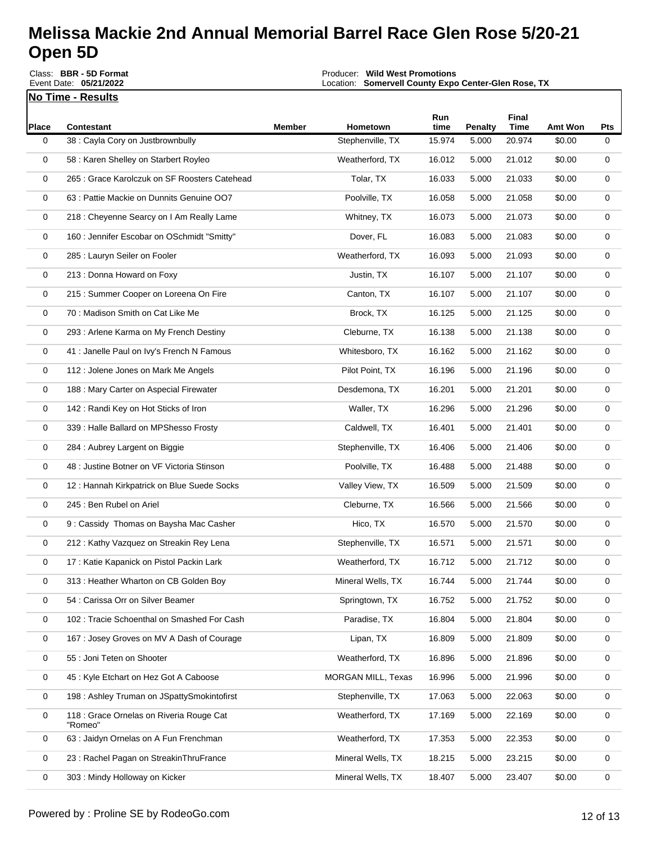**No Time - Results** Class: **BBR - 5D Format** Event Date: **05/21/2022**

Producer: **Wild West Promotions**

Location: **Somervell County Expo Center-Glen Rose, TX** Event Payout: **\$25,771.00** Total Signups**: 410**

| <b>Place</b> | <b>Contestant</b>                                   | Member | Hometown           | Run<br>time | Penalty | Final<br><b>Time</b> | Amt Won | Pts |
|--------------|-----------------------------------------------------|--------|--------------------|-------------|---------|----------------------|---------|-----|
| 0            | 38 : Cayla Cory on Justbrownbully                   |        | Stephenville, TX   | 15.974      | 5.000   | 20.974               | \$0.00  | 0   |
| 0            | 58 : Karen Shelley on Starbert Royleo               |        | Weatherford, TX    | 16.012      | 5.000   | 21.012               | \$0.00  | 0   |
| 0            | 265 : Grace Karolczuk on SF Roosters Catehead       |        | Tolar, TX          | 16.033      | 5.000   | 21.033               | \$0.00  | 0   |
| 0            | 63 : Pattie Mackie on Dunnits Genuine OO7           |        | Poolville, TX      | 16.058      | 5.000   | 21.058               | \$0.00  | 0   |
| 0            | 218 : Cheyenne Searcy on I Am Really Lame           |        | Whitney, TX        | 16.073      | 5.000   | 21.073               | \$0.00  | 0   |
| 0            | 160 : Jennifer Escobar on OSchmidt "Smitty"         |        | Dover, FL          | 16.083      | 5.000   | 21.083               | \$0.00  | 0   |
| 0            | 285 : Lauryn Seiler on Fooler                       |        | Weatherford, TX    | 16.093      | 5.000   | 21.093               | \$0.00  | 0   |
| 0            | 213 : Donna Howard on Foxy                          |        | Justin, TX         | 16.107      | 5.000   | 21.107               | \$0.00  | 0   |
| 0            | 215 : Summer Cooper on Loreena On Fire              |        | Canton, TX         | 16.107      | 5.000   | 21.107               | \$0.00  | 0   |
| 0            | 70 : Madison Smith on Cat Like Me                   |        | Brock, TX          | 16.125      | 5.000   | 21.125               | \$0.00  | 0   |
| 0            | 293 : Arlene Karma on My French Destiny             |        | Cleburne, TX       | 16.138      | 5.000   | 21.138               | \$0.00  | 0   |
| 0            | 41 : Janelle Paul on Ivy's French N Famous          |        | Whitesboro, TX     | 16.162      | 5.000   | 21.162               | \$0.00  | 0   |
| 0            | 112 : Jolene Jones on Mark Me Angels                |        | Pilot Point, TX    | 16.196      | 5.000   | 21.196               | \$0.00  | 0   |
| 0            | 188 : Mary Carter on Aspecial Firewater             |        | Desdemona, TX      | 16.201      | 5.000   | 21.201               | \$0.00  | 0   |
| 0            | 142 : Randi Key on Hot Sticks of Iron               |        | Waller, TX         | 16.296      | 5.000   | 21.296               | \$0.00  | 0   |
| 0            | 339 : Halle Ballard on MPShesso Frosty              |        | Caldwell, TX       | 16.401      | 5.000   | 21.401               | \$0.00  | 0   |
| 0            | 284 : Aubrey Largent on Biggie                      |        | Stephenville, TX   | 16.406      | 5.000   | 21.406               | \$0.00  | 0   |
| 0            | 48 : Justine Botner on VF Victoria Stinson          |        | Poolville, TX      | 16.488      | 5.000   | 21.488               | \$0.00  | 0   |
| 0            | 12: Hannah Kirkpatrick on Blue Suede Socks          |        | Valley View, TX    | 16.509      | 5.000   | 21.509               | \$0.00  | 0   |
| 0            | 245 : Ben Rubel on Ariel                            |        | Cleburne, TX       | 16.566      | 5.000   | 21.566               | \$0.00  | 0   |
| 0            | 9: Cassidy Thomas on Baysha Mac Casher              |        | Hico, TX           | 16.570      | 5.000   | 21.570               | \$0.00  | 0   |
| 0            | 212 : Kathy Vazquez on Streakin Rey Lena            |        | Stephenville, TX   | 16.571      | 5.000   | 21.571               | \$0.00  | 0   |
| 0            | 17 : Katie Kapanick on Pistol Packin Lark           |        | Weatherford, TX    | 16.712      | 5.000   | 21.712               | \$0.00  | 0   |
| 0            | 313 : Heather Wharton on CB Golden Boy              |        | Mineral Wells, TX  | 16.744      | 5.000   | 21.744               | \$0.00  | 0   |
| 0            | 54 : Carissa Orr on Silver Beamer                   |        | Springtown, TX     | 16.752      | 5.000   | 21.752               | \$0.00  | 0   |
| 0            | 102 : Tracie Schoenthal on Smashed For Cash         |        | Paradise, TX       | 16.804      | 5.000   | 21.804               | \$0.00  | 0   |
| 0            | 167 : Josey Groves on MV A Dash of Courage          |        | Lipan, TX          | 16.809      | 5.000   | 21.809               | \$0.00  | 0   |
| 0            | 55 : Joni Teten on Shooter                          |        | Weatherford, TX    | 16.896      | 5.000   | 21.896               | \$0.00  | 0   |
| 0            | 45 : Kyle Etchart on Hez Got A Caboose              |        | MORGAN MILL, Texas | 16.996      | 5.000   | 21.996               | \$0.00  | 0   |
| 0            | 198 : Ashley Truman on JSpattySmokintofirst         |        | Stephenville, TX   | 17.063      | 5.000   | 22.063               | \$0.00  | 0   |
| 0            | 118 : Grace Ornelas on Riveria Rouge Cat<br>"Romeo" |        | Weatherford, TX    | 17.169      | 5.000   | 22.169               | \$0.00  | 0   |
| 0            | 63 : Jaidyn Ornelas on A Fun Frenchman              |        | Weatherford, TX    | 17.353      | 5.000   | 22.353               | \$0.00  | 0   |
| 0            | 23 : Rachel Pagan on StreakinThruFrance             |        | Mineral Wells, TX  | 18.215      | 5.000   | 23.215               | \$0.00  | 0   |
| 0            | 303 : Mindy Holloway on Kicker                      |        | Mineral Wells, TX  | 18.407      | 5.000   | 23.407               | \$0.00  | 0   |